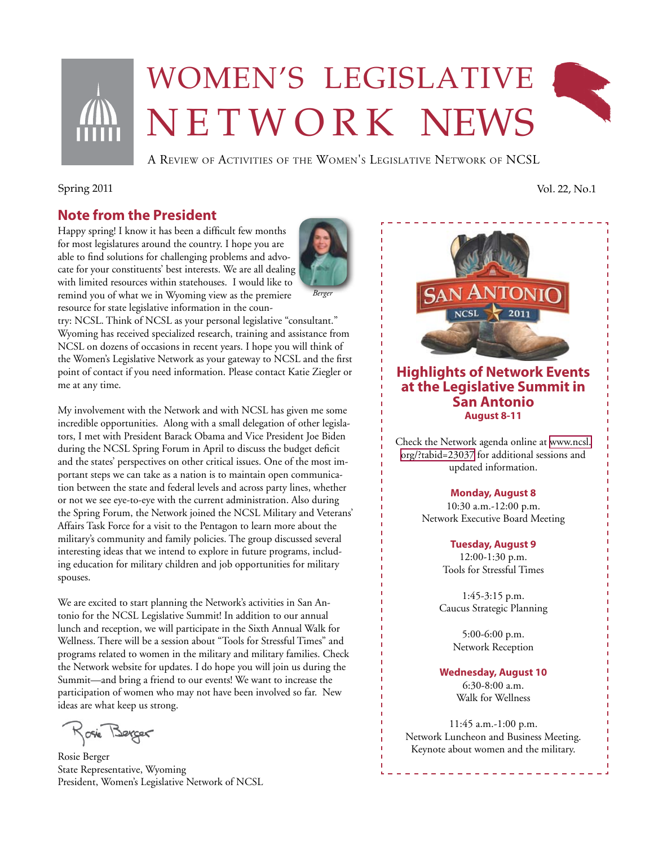

# Women's legislative N E T W O R K NEWS



A Review of Activities of the Women's Legislative Network of NCSL

# **Note from the President**

Happy spring! I know it has been a difficult few months for most legislatures around the country. I hope you are able to find solutions for challenging problems and advocate for your constituents' best interests. We are all dealing with limited resources within statehouses. I would like to remind you of what we in Wyoming view as the premiere resource for state legislative information in the coun-

try: NCSL. Think of NCSL as your personal legislative "consultant." Wyoming has received specialized research, training and assistance from NCSL on dozens of occasions in recent years. I hope you will think of the Women's Legislative Network as your gateway to NCSL and the first point of contact if you need information. Please contact Katie Ziegler or me at any time.

My involvement with the Network and with NCSL has given me some incredible opportunities. Along with a small delegation of other legislators, I met with President Barack Obama and Vice President Joe Biden during the NCSL Spring Forum in April to discuss the budget deficit and the states' perspectives on other critical issues. One of the most important steps we can take as a nation is to maintain open communication between the state and federal levels and across party lines, whether or not we see eye-to-eye with the current administration. Also during the Spring Forum, the Network joined the NCSL Military and Veterans' Affairs Task Force for a visit to the Pentagon to learn more about the military's community and family policies. The group discussed several interesting ideas that we intend to explore in future programs, including education for military children and job opportunities for military spouses.

We are excited to start planning the Network's activities in San Antonio for the NCSL Legislative Summit! In addition to our annual lunch and reception, we will participate in the Sixth Annual Walk for Wellness. There will be a session about "Tools for Stressful Times" and programs related to women in the military and military families. Check the Network website for updates. I do hope you will join us during the Summit—and bring a friend to our events! We want to increase the participation of women who may not have been involved so far. New ideas are what keep us strong.

Kosie Berger

Rosie Berger State Representative, Wyoming President, Women's Legislative Network of NCSL





## **Highlights of Network Events at the Legislative Summit in San Antonio August 8-11**

Check the Network agenda online at [www.ncsl.](http://www.ncsl.org/?tabid=23037) [org/?tabid=23037](http://www.ncsl.org/?tabid=23037) for additional sessions and updated information.

#### **Monday, August 8**

10:30 a.m.-12:00 p.m. Network Executive Board Meeting

**Tuesday, August 9**

12:00-1:30 p.m. Tools for Stressful Times

1:45-3:15 p.m. Caucus Strategic Planning

> 5:00-6:00 p.m. Network Reception

#### **Wednesday, August 10**

6:30-8:00 a.m. Walk for Wellness

11:45 a.m.-1:00 p.m. Network Luncheon and Business Meeting. Keynote about women and the military.

Spring 2011 Vol. 22, No.1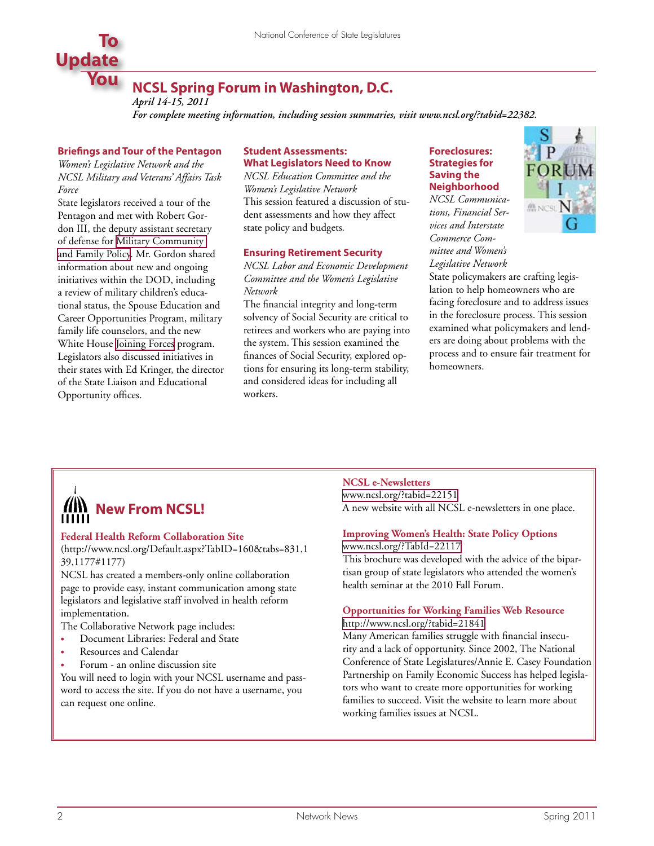

### **NCSL Spring Forum in Washington, D.C.** *April 14-15, 2011*

*For complete meeting information, including session summaries, visit www.ncsl.org/?tabid=22382.*

#### **Briefings and Tour of the Pentagon**

*Women's Legislative Network and the NCSL Military and Veterans' Affairs Task Force*

State legislators received a tour of the Pentagon and met with Robert Gordon III, the deputy assistant secretary of defense for [Military Community](http://prhome.defense.gov/MCFP/Mission.aspx)  [and Family Policy.](http://prhome.defense.gov/MCFP/Mission.aspx) Mr. Gordon shared information about new and ongoing initiatives within the DOD, including a review of military children's educational status, the Spouse Education and Career Opportunities Program, military family life counselors, and the new White House [Joining Forces](http://www.whitehouse.gov/joiningforces) program. Legislators also discussed initiatives in their states with Ed Kringer, the director of the State Liaison and Educational Opportunity offices.

#### **Student Assessments: What Legislators Need to Know**

*NCSL Education Committee and the Women's Legislative Network* This session featured a discussion of student assessments and how they affect state policy and budgets*.*

#### **Ensuring Retirement Security**

*NCSL Labor and Economic Development Committee and the Women's Legislative Network*

The financial integrity and long-term solvency of Social Security are critical to retirees and workers who are paying into the system. This session examined the finances of Social Security, explored options for ensuring its long-term stability, and considered ideas for including all workers.

#### **Foreclosures: Strategies for Saving the Neighborhood**

*NCSL Communications, Financial Services and Interstate Commerce Committee and Women's Legislative Network*



State policymakers are crafting legislation to help homeowners who are facing foreclosure and to address issues in the foreclosure process. This session examined what policymakers and lenders are doing about problems with the process and to ensure fair treatment for homeowners.



#### **Federal Health Reform Collaboration Site**

(http://www.ncsl.org/Default.aspx?TabID=160&tabs=831,1 39,1177#1177)

NCSL has created a members-only online collaboration page to provide easy, instant communication among state legislators and legislative staff involved in health reform implementation.

The Collaborative Network page includes:

- **Document Libraries: Federal and State**
- **Resources and Calendar**
- Forum an online discussion site

You will need to login with your NCSL username and password to access the site. If you do not have a username, you can request one online.

#### **NCSL e-Newsletters**

[www.ncsl.org/?tabid=22151](http://www.ncsl.org/?tabid=22151) A new website with all NCSL e-newsletters in one place.

#### **Improving Women's Health: State Policy Options**

[www.ncsl.org/?TabId=22117](http://www.ncsl.org/?TabId=22117) This brochure was developed with the advice of the bipar-

tisan group of state legislators who attended the women's health seminar at the 2010 Fall Forum.

### **Opportunities for Working Families Web Resource**

<http://www.ncsl.org/?tabid=21841>

Many American families struggle with financial insecurity and a lack of opportunity. Since 2002, The National Conference of State Legislatures/Annie E. Casey Foundation Partnership on Family Economic Success has helped legislators who want to create more opportunities for working families to succeed. Visit the website to learn more about working families issues at NCSL.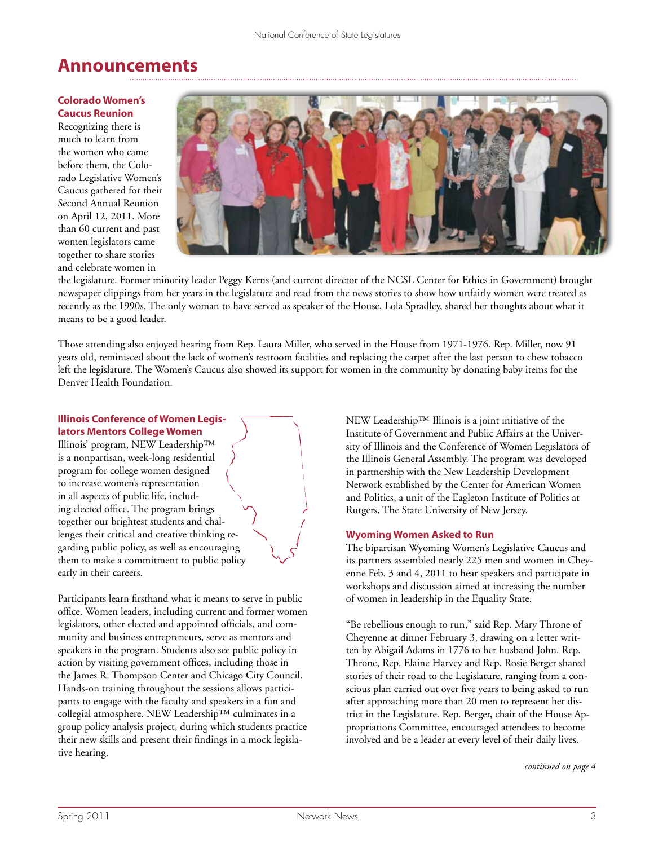# **Announcements**

#### **Colorado Women's Caucus Reunion**

Recognizing there is much to learn from the women who came before them, the Colorado Legislative Women's Caucus gathered for their Second Annual Reunion on April 12, 2011. More than 60 current and past women legislators came together to share stories and celebrate women in



the legislature. Former minority leader Peggy Kerns (and current director of the NCSL Center for Ethics in Government) brought newspaper clippings from her years in the legislature and read from the news stories to show how unfairly women were treated as recently as the 1990s. The only woman to have served as speaker of the House, Lola Spradley, shared her thoughts about what it means to be a good leader.

Those attending also enjoyed hearing from Rep. Laura Miller, who served in the House from 1971-1976. Rep. Miller, now 91 years old, reminisced about the lack of women's restroom facilities and replacing the carpet after the last person to chew tobacco left the legislature. The Women's Caucus also showed its support for women in the community by donating baby items for the Denver Health Foundation.

#### **Illinois Conference of Women Legislators Mentors College Women**

Illinois' program, NEW Leadership™ is a nonpartisan, week-long residential program for college women designed to increase women's representation in all aspects of public life, including elected office. The program brings together our brightest students and challenges their critical and creative thinking regarding public policy, as well as encouraging them to make a commitment to public policy early in their careers.

Participants learn firsthand what it means to serve in public office. Women leaders, including current and former women legislators, other elected and appointed officials, and community and business entrepreneurs, serve as mentors and speakers in the program. Students also see public policy in action by visiting government offices, including those in the James R. Thompson Center and Chicago City Council. Hands-on training throughout the sessions allows participants to engage with the faculty and speakers in a fun and collegial atmosphere. NEW Leadership™ culminates in a group policy analysis project, during which students practice their new skills and present their findings in a mock legislative hearing.

NEW Leadership™ Illinois is a joint initiative of the Institute of Government and Public Affairs at the University of Illinois and the Conference of Women Legislators of the Illinois General Assembly. The program was developed in partnership with the New Leadership Development Network established by the Center for American Women and Politics, a unit of the Eagleton Institute of Politics at Rutgers, The State University of New Jersey.

#### **Wyoming Women Asked to Run**

The bipartisan Wyoming Women's Legislative Caucus and its partners assembled nearly 225 men and women in Cheyenne Feb. 3 and 4, 2011 to hear speakers and participate in workshops and discussion aimed at increasing the number of women in leadership in the Equality State.

"Be rebellious enough to run," said Rep. Mary Throne of Cheyenne at dinner February 3, drawing on a letter written by Abigail Adams in 1776 to her husband John. Rep. Throne, Rep. Elaine Harvey and Rep. Rosie Berger shared stories of their road to the Legislature, ranging from a conscious plan carried out over five years to being asked to run after approaching more than 20 men to represent her district in the Legislature. Rep. Berger, chair of the House Appropriations Committee, encouraged attendees to become involved and be a leader at every level of their daily lives.

*continued on page 4*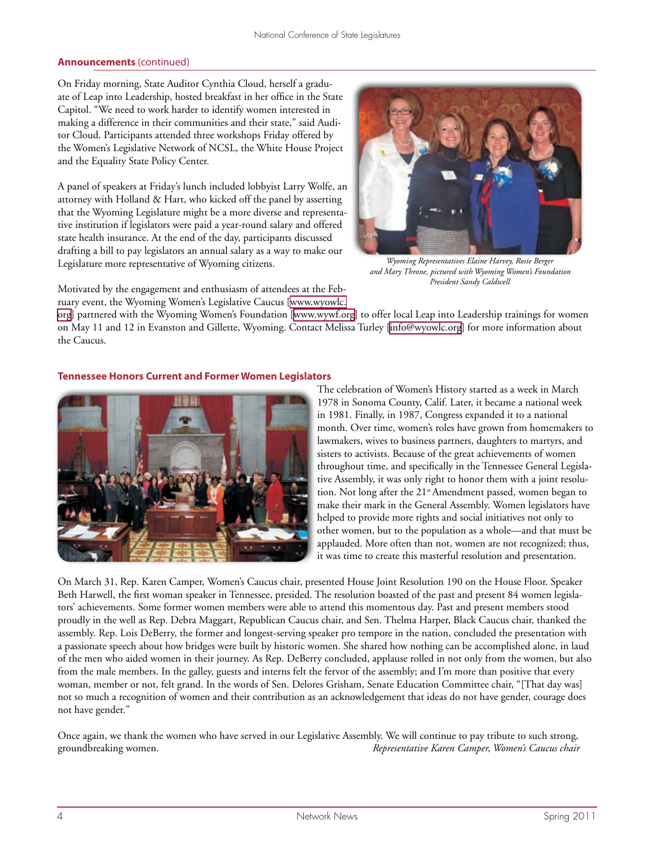On Friday morning, State Auditor Cynthia Cloud, herself a graduate of Leap into Leadership, hosted breakfast in her office in the State Capitol. "We need to work harder to identify women interested in making a difference in their communities and their state," said Auditor Cloud. Participants attended three workshops Friday offered by the Women's Legislative Network of NCSL, the White House Project and the Equality State Policy Center.

A panel of speakers at Friday's lunch included lobbyist Larry Wolfe, an attorney with Holland & Hart, who kicked off the panel by asserting that the Wyoming Legislature might be a more diverse and representative institution if legislators were paid a year-round salary and offered state health insurance. At the end of the day, participants discussed drafting a bill to pay legislators an annual salary as a way to make our Legislature more representative of Wyoming citizens.



*Wyoming Representatives Elaine Harvey, Rosie Berger and Mary Throne, pictured with Wyoming Women's Foundation President Sandy Caldwell*

Motivated by the engagement and enthusiasm of attendees at the February event, the Wyoming Women's Legislative Caucus [[www.wyowlc.](http://www.wyowlc.org)

[org\]](http://www.wyowlc.org) partnered with the Wyoming Women's Foundation [\[www.wywf.org](http://www.wywf.org)] to offer local Leap into Leadership trainings for women on May 11 and 12 in Evanston and Gillette, Wyoming. Contact Melissa Turley [\[info@wyowlc.org](mailto:info@wyowlc.org)] for more information about the Caucus.

### **Tennessee Honors Current and Former Women Legislators**



The celebration of Women's History started as a week in March 1978 in Sonoma County, Calif. Later, it became a national week in 1981. Finally, in 1987, Congress expanded it to a national month. Over time, women's roles have grown from homemakers to lawmakers, wives to business partners, daughters to martyrs, and sisters to activists. Because of the great achievements of women throughout time, and specifically in the Tennessee General Legislative Assembly, it was only right to honor them with a joint resolution. Not long after the 21<sup>st</sup> Amendment passed, women began to make their mark in the General Assembly. Women legislators have helped to provide more rights and social initiatives not only to other women, but to the population as a whole—and that must be applauded. More often than not, women are not recognized; thus, it was time to create this masterful resolution and presentation.

On March 31, Rep. Karen Camper, Women's Caucus chair, presented House Joint Resolution 190 on the House Floor. Speaker Beth Harwell, the first woman speaker in Tennessee, presided. The resolution boasted of the past and present 84 women legislators' achievements. Some former women members were able to attend this momentous day. Past and present members stood proudly in the well as Rep. Debra Maggart, Republican Caucus chair, and Sen. Thelma Harper, Black Caucus chair, thanked the assembly. Rep. Lois DeBerry, the former and longest-serving speaker pro tempore in the nation, concluded the presentation with a passionate speech about how bridges were built by historic women. She shared how nothing can be accomplished alone, in laud of the men who aided women in their journey. As Rep. DeBerry concluded, applause rolled in not only from the women, but also from the male members. In the galley, guests and interns felt the fervor of the assembly; and I'm more than positive that every woman, member or not, felt grand. In the words of Sen. Delores Grisham, Senate Education Committee chair, "[That day was] not so much a recognition of women and their contribution as an acknowledgement that ideas do not have gender, courage does not have gender."

Once again, we thank the women who have served in our Legislative Assembly. We will continue to pay tribute to such strong, groundbreaking women. *Representative Karen Camper, Women's Caucus chair*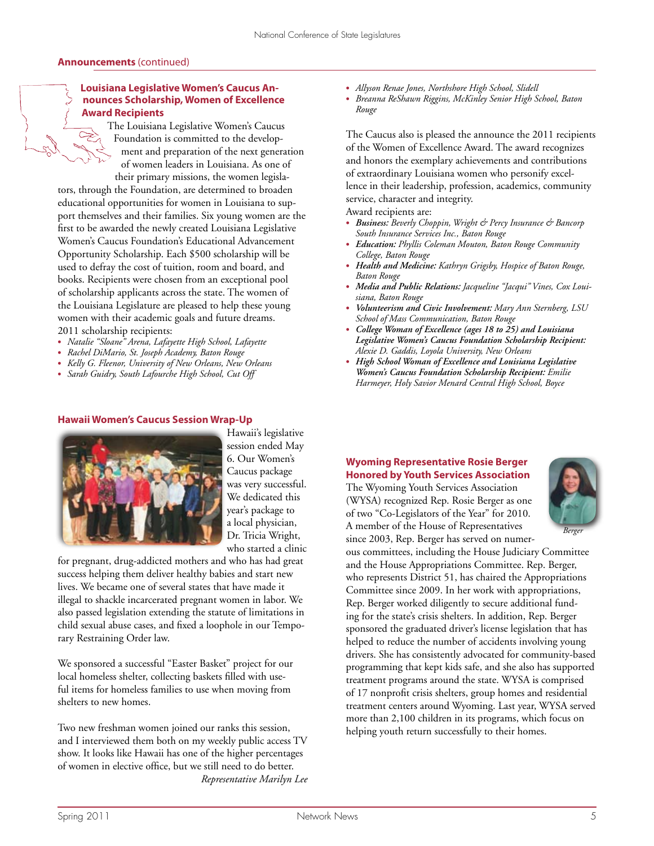#### **Louisiana Legislative Women's Caucus Announces Scholarship, Women of Excellence Award Recipients**

The Louisiana Legislative Women's Caucus Foundation is committed to the development and preparation of the next generation of women leaders in Louisiana. As one of their primary missions, the women legisla-

tors, through the Foundation, are determined to broaden educational opportunities for women in Louisiana to support themselves and their families. Six young women are the first to be awarded the newly created Louisiana Legislative Women's Caucus Foundation's Educational Advancement Opportunity Scholarship. Each \$500 scholarship will be used to defray the cost of tuition, room and board, and books. Recipients were chosen from an exceptional pool of scholarship applicants across the state. The women of the Louisiana Legislature are pleased to help these young women with their academic goals and future dreams. 2011 scholarship recipients:

- **•**  *Natalie "Sloane" Arena, Lafayette High School, Lafayette*
- **•**  *Rachel DiMario, St. Joseph Academy, Baton Rouge*
- **•**  *Kelly G. Fleenor, University of New Orleans, New Orleans*
- **•**  *Sarah Guidry, South Lafourche High School, Cut Off*

#### **Hawaii Women's Caucus Session Wrap-Up**



Hawaii's legislative session ended May 6. Our Women's Caucus package was very successful. We dedicated this year's package to a local physician, Dr. Tricia Wright, who started a clinic

for pregnant, drug-addicted mothers and who has had great success helping them deliver healthy babies and start new lives. We became one of several states that have made it illegal to shackle incarcerated pregnant women in labor. We also passed legislation extending the statute of limitations in child sexual abuse cases, and fixed a loophole in our Temporary Restraining Order law.

We sponsored a successful "Easter Basket" project for our local homeless shelter, collecting baskets filled with useful items for homeless families to use when moving from shelters to new homes.

Two new freshman women joined our ranks this session, and I interviewed them both on my weekly public access TV show. It looks like Hawaii has one of the higher percentages of women in elective office, but we still need to do better. *Representative Marilyn Lee*

- **•**  *Allyson Renae Jones, Northshore High School, Slidell*
- **•**  *Breanna ReShawn Riggins, McKinley Senior High School, Baton Rouge*

The Caucus also is pleased the announce the 2011 recipients of the Women of Excellence Award. The award recognizes and honors the exemplary achievements and contributions of extraordinary Louisiana women who personify excellence in their leadership, profession, academics, community service, character and integrity.

Award recipients are:

- **•**  *Business: Beverly Choppin, Wright & Percy Insurance & Bancorp South Insurance Services Inc., Baton Rouge*
- **•**  *Education: Phyllis Coleman Mouton, Baton Rouge Community College, Baton Rouge*
- **•**  *Health and Medicine: Kathryn Grigsby, Hospice of Baton Rouge, Baton Rouge*
- **•**  *Media and Public Relations: Jacqueline "Jacqui" Vines, Cox Louisiana, Baton Rouge*
- **•**  *Volunteerism and Civic Involvement: Mary Ann Sternberg, LSU School of Mass Communication, Baton Rouge*
- **•**  *College Woman of Excellence (ages 18 to 25) and Louisiana Legislative Women's Caucus Foundation Scholarship Recipient: Alexie D. Gaddis, Loyola University, New Orleans*
- **•**  *High School Woman of Excellence and Louisiana Legislative Women's Caucus Foundation Scholarship Recipient: Emilie Harmeyer, Holy Savior Menard Central High School, Boyce*

### **Wyoming Representative Rosie Berger Honored by Youth Services Association**

The Wyoming Youth Services Association (WYSA) recognized Rep. Rosie Berger as one of two "Co-Legislators of the Year" for 2010. A member of the House of Representatives since 2003, Rep. Berger has served on numer-



ous committees, including the House Judiciary Committee and the House Appropriations Committee. Rep. Berger, who represents District 51, has chaired the Appropriations Committee since 2009. In her work with appropriations, Rep. Berger worked diligently to secure additional funding for the state's crisis shelters. In addition, Rep. Berger sponsored the graduated driver's license legislation that has helped to reduce the number of accidents involving young drivers. She has consistently advocated for community-based programming that kept kids safe, and she also has supported treatment programs around the state. WYSA is comprised of 17 nonprofit crisis shelters, group homes and residential treatment centers around Wyoming. Last year, WYSA served more than 2,100 children in its programs, which focus on helping youth return successfully to their homes.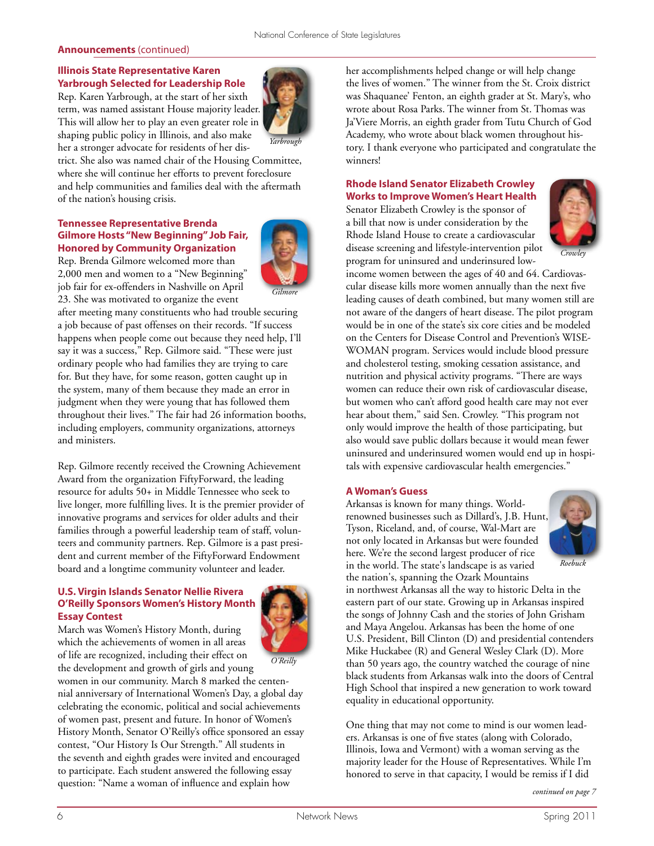#### **Illinois State Representative Karen Yarbrough Selected for Leadership Role**

Rep. Karen Yarbrough, at the start of her sixth term, was named assistant House majority leader. This will allow her to play an even greater role in shaping public policy in Illinois, and also make her a stronger advocate for residents of her dis-



trict. She also was named chair of the Housing Committee, where she will continue her efforts to prevent foreclosure and help communities and families deal with the aftermath of the nation's housing crisis.

#### **Tennessee Representative Brenda Gilmore Hosts "New Beginning" Job Fair, Honored by Community Organization**



Rep. Brenda Gilmore welcomed more than 2,000 men and women to a "New Beginning" job fair for ex-offenders in Nashville on April 23. She was motivated to organize the event

after meeting many constituents who had trouble securing a job because of past offenses on their records. "If success happens when people come out because they need help, I'll say it was a success," Rep. Gilmore said. "These were just ordinary people who had families they are trying to care for. But they have, for some reason, gotten caught up in the system, many of them because they made an error in judgment when they were young that has followed them throughout their lives." The fair had 26 information booths, including employers, community organizations, attorneys and ministers.

Rep. Gilmore recently received the Crowning Achievement Award from the organization FiftyForward, the leading resource for adults 50+ in Middle Tennessee who seek to live longer, more fulfilling lives. It is the premier provider of innovative programs and services for older adults and their families through a powerful leadership team of staff, volunteers and community partners. Rep. Gilmore is a past president and current member of the FiftyForward Endowment board and a longtime community volunteer and leader.

#### **U.S. Virgin Islands Senator Nellie Rivera O'Reilly Sponsors Women's History Month Essay Contest**

March was Women's History Month, during



which the achievements of women in all areas of life are recognized, including their effect on the development and growth of girls and young women in our community. March 8 marked the centennial anniversary of International Women's Day, a global day celebrating the economic, political and social achievements of women past, present and future. In honor of Women's History Month, Senator O'Reilly's office sponsored an essay contest, "Our History Is Our Strength." All students in the seventh and eighth grades were invited and encouraged to participate. Each student answered the following essay question: "Name a woman of influence and explain how *O'Reilly*

her accomplishments helped change or will help change the lives of women." The winner from the St. Croix district was Shaquanee' Fenton, an eighth grader at St. Mary's, who wrote about Rosa Parks. The winner from St. Thomas was Ja'Viere Morris, an eighth grader from Tutu Church of God Academy, who wrote about black women throughout history. I thank everyone who participated and congratulate the winners!

### **Rhode Island Senator Elizabeth Crowley Works to Improve Women's Heart Health**

Senator Elizabeth Crowley is the sponsor of a bill that now is under consideration by the Rhode Island House to create a cardiovascular disease screening and lifestyle-intervention pilot program for uninsured and underinsured low-



*Crowley*

income women between the ages of 40 and 64. Cardiovascular disease kills more women annually than the next five leading causes of death combined, but many women still are not aware of the dangers of heart disease. The pilot program would be in one of the state's six core cities and be modeled on the Centers for Disease Control and Prevention's WISE-WOMAN program. Services would include blood pressure and cholesterol testing, smoking cessation assistance, and nutrition and physical activity programs. "There are ways women can reduce their own risk of cardiovascular disease, but women who can't afford good health care may not ever hear about them," said Sen. Crowley. "This program not only would improve the health of those participating, but also would save public dollars because it would mean fewer uninsured and underinsured women would end up in hospitals with expensive cardiovascular health emergencies."

#### **A Woman's Guess**

Arkansas is known for many things. Worldrenowned businesses such as Dillard's, J.B. Hunt, Tyson, Riceland, and, of course, Wal-Mart are not only located in Arkansas but were founded here. We're the second largest producer of rice in the world. The state's landscape is as varied the nation's, spanning the Ozark Mountains



*Roebuck*

in northwest Arkansas all the way to historic Delta in the eastern part of our state. Growing up in Arkansas inspired the songs of Johnny Cash and the stories of John Grisham and Maya Angelou. Arkansas has been the home of one U.S. President, Bill Clinton (D) and presidential contenders Mike Huckabee (R) and General Wesley Clark (D). More than 50 years ago, the country watched the courage of nine black students from Arkansas walk into the doors of Central High School that inspired a new generation to work toward equality in educational opportunity.

One thing that may not come to mind is our women leaders. Arkansas is one of five states (along with Colorado, Illinois, Iowa and Vermont) with a woman serving as the majority leader for the House of Representatives. While I'm honored to serve in that capacity, I would be remiss if I did

*continued on page 7*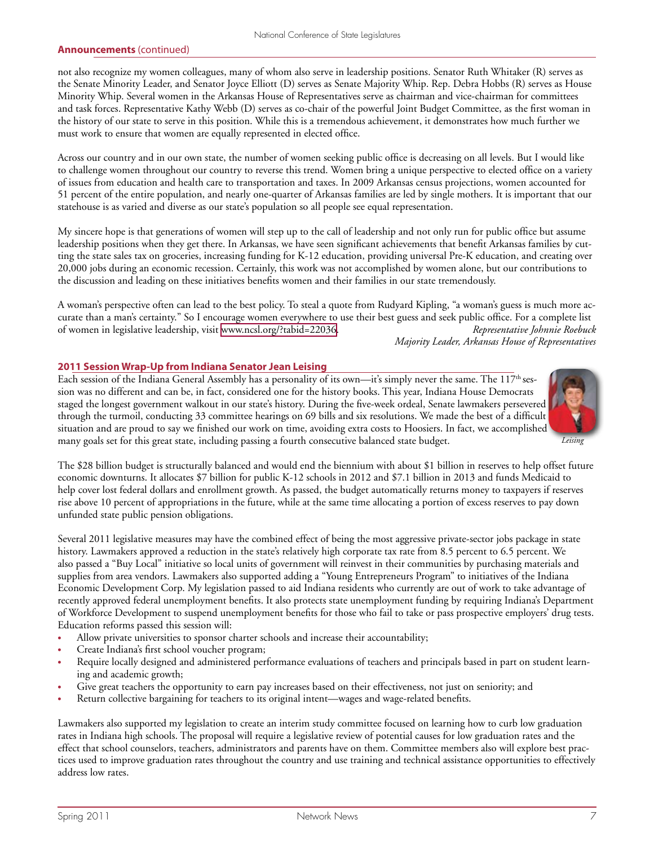not also recognize my women colleagues, many of whom also serve in leadership positions. Senator Ruth Whitaker (R) serves as the Senate Minority Leader, and Senator Joyce Elliott (D) serves as Senate Majority Whip. Rep. Debra Hobbs (R) serves as House Minority Whip. Several women in the Arkansas House of Representatives serve as chairman and vice-chairman for committees and task forces. Representative Kathy Webb (D) serves as co-chair of the powerful Joint Budget Committee, as the first woman in the history of our state to serve in this position. While this is a tremendous achievement, it demonstrates how much further we must work to ensure that women are equally represented in elected office.

Across our country and in our own state, the number of women seeking public office is decreasing on all levels. But I would like to challenge women throughout our country to reverse this trend. Women bring a unique perspective to elected office on a variety of issues from education and health care to transportation and taxes. In 2009 Arkansas census projections, women accounted for 51 percent of the entire population, and nearly one-quarter of Arkansas families are led by single mothers. It is important that our statehouse is as varied and diverse as our state's population so all people see equal representation.

My sincere hope is that generations of women will step up to the call of leadership and not only run for public office but assume leadership positions when they get there. In Arkansas, we have seen significant achievements that benefit Arkansas families by cutting the state sales tax on groceries, increasing funding for K-12 education, providing universal Pre-K education, and creating over 20,000 jobs during an economic recession. Certainly, this work was not accomplished by women alone, but our contributions to the discussion and leading on these initiatives benefits women and their families in our state tremendously.

A woman's perspective often can lead to the best policy. To steal a quote from Rudyard Kipling, "a woman's guess is much more accurate than a man's certainty." So I encourage women everywhere to use their best guess and seek public office. For a complete list of women in legislative leadership, visit [www.ncsl.org/?tabid=22036](http://www.ncsl.org/?tabid=22036). *Representative Johnnie Roebuck Majority Leader, Arkansas House of Representatives*

#### **2011 Session Wrap-Up from Indiana Senator Jean Leising**

Each session of the Indiana General Assembly has a personality of its own—it's simply never the same. The 117<sup>th</sup> session was no different and can be, in fact, considered one for the history books. This year, Indiana House Democrats staged the longest government walkout in our state's history. During the five-week ordeal, Senate lawmakers persevered through the turmoil, conducting 33 committee hearings on 69 bills and six resolutions. We made the best of a difficult situation and are proud to say we finished our work on time, avoiding extra costs to Hoosiers. In fact, we accomplished many goals set for this great state, including passing a fourth consecutive balanced state budget.



*Leising*

The \$28 billion budget is structurally balanced and would end the biennium with about \$1 billion in reserves to help offset future economic downturns. It allocates \$7 billion for public K-12 schools in 2012 and \$7.1 billion in 2013 and funds Medicaid to help cover lost federal dollars and enrollment growth. As passed, the budget automatically returns money to taxpayers if reserves rise above 10 percent of appropriations in the future, while at the same time allocating a portion of excess reserves to pay down unfunded state public pension obligations.

Several 2011 legislative measures may have the combined effect of being the most aggressive private-sector jobs package in state history. Lawmakers approved a reduction in the state's relatively high corporate tax rate from 8.5 percent to 6.5 percent. We also passed a "Buy Local" initiative so local units of government will reinvest in their communities by purchasing materials and supplies from area vendors. Lawmakers also supported adding a "Young Entrepreneurs Program" to initiatives of the Indiana Economic Development Corp. My legislation passed to aid Indiana residents who currently are out of work to take advantage of recently approved federal unemployment benefits. It also protects state unemployment funding by requiring Indiana's Department of Workforce Development to suspend unemployment benefits for those who fail to take or pass prospective employers' drug tests. Education reforms passed this session will:

- Allow private universities to sponsor charter schools and increase their accountability;
- Create Indiana's first school voucher program;
- Require locally designed and administered performance evaluations of teachers and principals based in part on student learning and academic growth;
- Give great teachers the opportunity to earn pay increases based on their effectiveness, not just on seniority; and
- Return collective bargaining for teachers to its original intent—wages and wage-related benefits.

Lawmakers also supported my legislation to create an interim study committee focused on learning how to curb low graduation rates in Indiana high schools. The proposal will require a legislative review of potential causes for low graduation rates and the effect that school counselors, teachers, administrators and parents have on them. Committee members also will explore best practices used to improve graduation rates throughout the country and use training and technical assistance opportunities to effectively address low rates.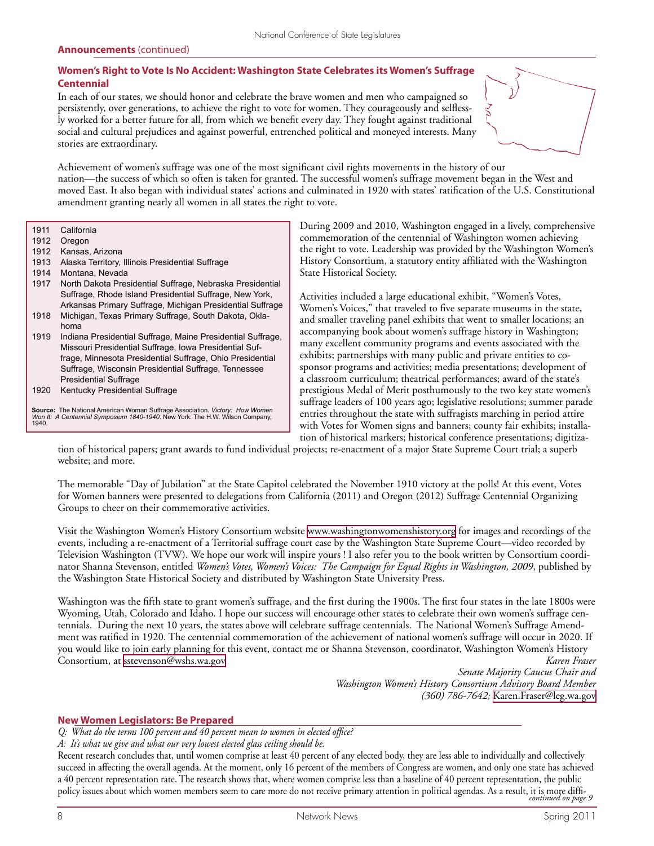#### **Women's Right to Vote Is No Accident: Washington State Celebrates its Women's Suffrage Centennial**

In each of our states, we should honor and celebrate the brave women and men who campaigned so persistently, over generations, to achieve the right to vote for women. They courageously and selflessly worked for a better future for all, from which we benefit every day. They fought against traditional social and cultural prejudices and against powerful, entrenched political and moneyed interests. Many stories are extraordinary.



Achievement of women's suffrage was one of the most significant civil rights movements in the history of our nation—the success of which so often is taken for granted. The successful women's suffrage movement began in the West and moved East. It also began with individual states' actions and culminated in 1920 with states' ratification of the U.S. Constitutional amendment granting nearly all women in all states the right to vote.

1911 California<br>1912 Oregon

- 1912 Oregon<br>1912 Kansas
- Kansas, Arizona
- 1913 Alaska Territory, Illinois Presidential Suffrage
- 1914 Montana, Nevada
- 1917 North Dakota Presidential Suffrage, Nebraska Presidential Suffrage, Rhode Island Presidential Suffrage, New York, Arkansas Primary Suffrage, Michigan Presidential Suffrage
- 1918 Michigan, Texas Primary Suffrage, South Dakota, Oklahoma
- 1919 Indiana Presidential Suffrage, Maine Presidential Suffrage, Missouri Presidential Suffrage, Iowa Presidential Suffrage, Minnesota Presidential Suffrage, Ohio Presidential Suffrage, Wisconsin Presidential Suffrage, Tennessee Presidential Suffrage
- 1920 Kentucky Presidential Suffrage

**Source:** The National American Woman Suffrage Association. *Victory: How Women Won It: A Centennial Symposium 1840-1940*. New York: The H.W. Wilson Company, 1940.

During 2009 and 2010, Washington engaged in a lively, comprehensive commemoration of the centennial of Washington women achieving the right to vote. Leadership was provided by the Washington Women's History Consortium, a statutory entity affiliated with the Washington State Historical Society.

Activities included a large educational exhibit, "Women's Votes, Women's Voices," that traveled to five separate museums in the state, and smaller traveling panel exhibits that went to smaller locations; an accompanying book about women's suffrage history in Washington; many excellent community programs and events associated with the exhibits; partnerships with many public and private entities to cosponsor programs and activities; media presentations; development of a classroom curriculum; theatrical performances; award of the state's prestigious Medal of Merit posthumously to the two key state women's suffrage leaders of 100 years ago; legislative resolutions; summer parade entries throughout the state with suffragists marching in period attire with Votes for Women signs and banners; county fair exhibits; installation of historical markers; historical conference presentations; digitiza-

tion of historical papers; grant awards to fund individual projects; re-enactment of a major State Supreme Court trial; a superb website; and more.

The memorable "Day of Jubilation" at the State Capitol celebrated the November 1910 victory at the polls! At this event, Votes for Women banners were presented to delegations from California (2011) and Oregon (2012) Suffrage Centennial Organizing Groups to cheer on their commemorative activities.

Visit the Washington Women's History Consortium website [www.washingtonwomenshistory.org](http://www.washingtonwomenshistory.org) for images and recordings of the events, including a re-enactment of a Territorial suffrage court case by the Washington State Supreme Court—video recorded by Television Washington (TVW). We hope our work will inspire yours ! I also refer you to the book written by Consortium coordinator Shanna Stevenson, entitled *Women's Votes, Women's Voices: The Campaign for Equal Rights in Washington, 2009*, published by the Washington State Historical Society and distributed by Washington State University Press.

Washington was the fifth state to grant women's suffrage, and the first during the 1900s. The first four states in the late 1800s were Wyoming, Utah, Colorado and Idaho. I hope our success will encourage other states to celebrate their own women's suffrage centennials. During the next 10 years, the states above will celebrate suffrage centennials. The National Women's Suffrage Amendment was ratified in 1920. The centennial commemoration of the achievement of national women's suffrage will occur in 2020. If you would like to join early planning for this event, contact me or Shanna Stevenson, coordinator, Washington Women's History Consortium, at [sstevenson@wshs.wa.gov](mailto:sstevenson@wshs.wa.gov) *Karen Fraser*

*Senate Majority Caucus Chair and Washington Women's History Consortium Advisory Board Member (360) 786-7642;* [Karen.Fraser@leg.wa.gov](mailto:Karen.Fraser@leg.wa.gov)

#### **New Women Legislators: Be Prepared**

*Q: What do the terms 100 percent and 40 percent mean to women in elected office?* 

*A: It's what we give and what our very lowest elected glass ceiling should be.* 

Recent research concludes that, until women comprise at least 40 percent of any elected body, they are less able to individually and collectively succeed in affecting the overall agenda. At the moment, only 16 percent of the members of Congress are women, and only one state has achieved a 40 percent representation rate. The research shows that, where women comprise less than a baseline of 40 percent representation, the public policy issues about which women members seem to care more do not receive primary attention in political agendas. As a result, it is more diffi*continued on page 9*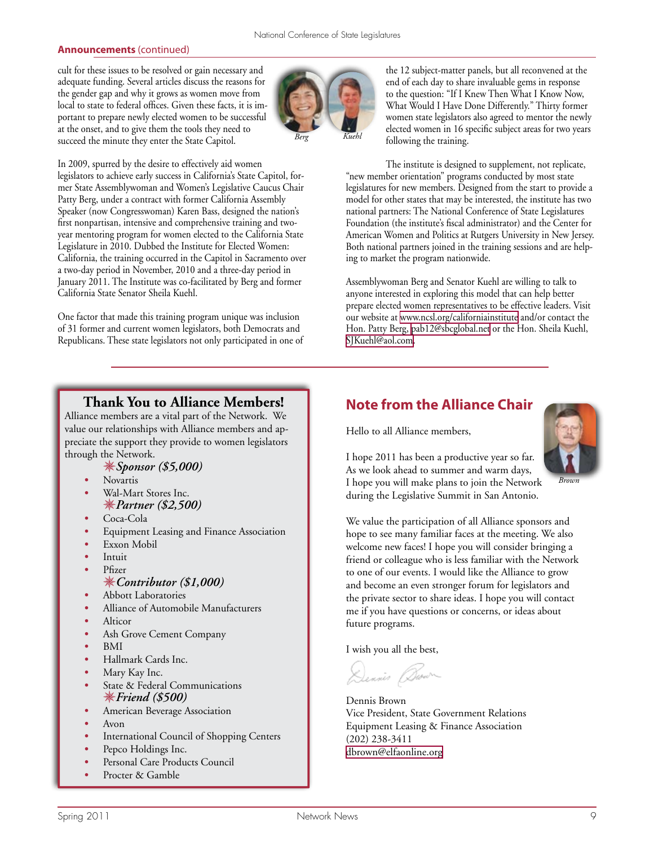cult for these issues to be resolved or gain necessary and adequate funding. Several articles discuss the reasons for the gender gap and why it grows as women move from local to state to federal offices. Given these facts, it is important to prepare newly elected women to be successful at the onset, and to give them the tools they need to succeed the minute they enter the State Capitol.



In 2009, spurred by the desire to effectively aid women legislators to achieve early success in California's State Capitol, former State Assemblywoman and Women's Legislative Caucus Chair Patty Berg, under a contract with former California Assembly Speaker (now Congresswoman) Karen Bass, designed the nation's first nonpartisan, intensive and comprehensive training and twoyear mentoring program for women elected to the California State Legislature in 2010. Dubbed the Institute for Elected Women: California, the training occurred in the Capitol in Sacramento over a two-day period in November, 2010 and a three-day period in January 2011. The Institute was co-facilitated by Berg and former California State Senator Sheila Kuehl.

One factor that made this training program unique was inclusion of 31 former and current women legislators, both Democrats and Republicans. These state legislators not only participated in one of the 12 subject-matter panels, but all reconvened at the end of each day to share invaluable gems in response to the question: "If I Knew Then What I Know Now, What Would I Have Done Differently." Thirty former women state legislators also agreed to mentor the newly elected women in 16 specific subject areas for two years following the training.

The institute is designed to supplement, not replicate, "new member orientation" programs conducted by most state legislatures for new members. Designed from the start to provide a model for other states that may be interested, the institute has two national partners: The National Conference of State Legislatures Foundation (the institute's fiscal administrator) and the Center for American Women and Politics at Rutgers University in New Jersey. Both national partners joined in the training sessions and are helping to market the program nationwide.

Assemblywoman Berg and Senator Kuehl are willing to talk to anyone interested in exploring this model that can help better prepare elected women representatives to be effective leaders. Visit our website at [www.ncsl.org/californiainstitute](http://www.ncsl.org/californiainstitute) and/or contact the Hon. Patty Berg, [pab12@sbcglobal.net](mailto:pab12@sbcglobal.net) or the Hon. Sheila Kuehl, [SJKuehl@aol.com.](mailto:SJKuehl@aol.com)

### **Thank You to Alliance Members!**

Alliance members are a vital part of the Network. We value our relationships with Alliance members and appreciate the support they provide to women legislators through the Network.

- *Sponsor (\$5,000)*
- *•* Novartis
- *•* Wal-Mart Stores Inc. *Partner (\$2,500)*
- *•* Coca-Cola
- *•* Equipment Leasing and Finance Association
- *•* Exxon Mobil
- *•* Intuit
- *•* Pfizer

#### *Contributor (\$1,000)*

- *•* Abbott Laboratories
- *•* Alliance of Automobile Manufacturers
- *•* Alticor
- *•* Ash Grove Cement Company
- *•* BMI
- *•* Hallmark Cards Inc.
- *•* Mary Kay Inc.
- *•* State & Federal Communications *Friend (\$500)*
- *•* American Beverage Association
- *•* Avon
- International Council of Shopping Centers
- *•* Pepco Holdings Inc.
- Personal Care Products Council
- *•* Procter & Gamble

# **Note from the Alliance Chair**

Hello to all Alliance members,



I hope 2011 has been a productive year so far. As we look ahead to summer and warm days, I hope you will make plans to join the Network during the Legislative Summit in San Antonio.

We value the participation of all Alliance sponsors and hope to see many familiar faces at the meeting. We also welcome new faces! I hope you will consider bringing a friend or colleague who is less familiar with the Network to one of our events. I would like the Alliance to grow and become an even stronger forum for legislators and the private sector to share ideas. I hope you will contact me if you have questions or concerns, or ideas about future programs.

I wish you all the best,

Dennis Brown

Dennis Brown Vice President, State Government Relations Equipment Leasing & Finance Association (202) 238-3411 [dbrown@elfaonline.org](mailto:dbrown@elfaonline.org)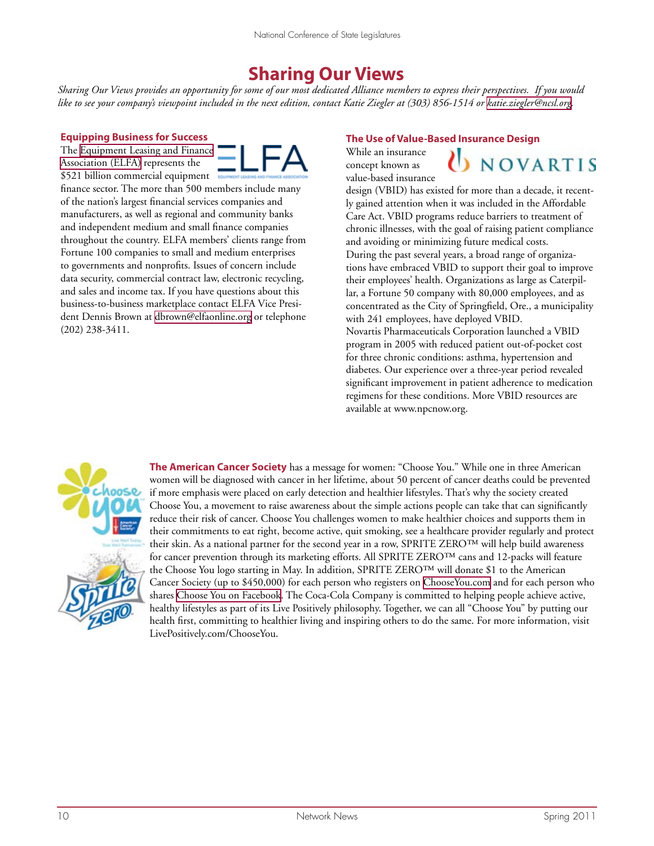# **Sharing Our Views**

*Sharing Our Views provides an opportunity for some of our most dedicated Alliance members to express their perspectives. If you would*  like to see your company's viewpoint included in the next edition, contact Katie Ziegler at (303) 856-1514 or [katie.ziegler@ncsl.org.](mailto:katie.ziegler@ncsl.org)

#### **Equipping Business for Success**

The [Equipment Leasing and Finance](http://www.elfaonline.org/)  [Association \(ELFA\)](http://www.elfaonline.org/) represents the \$521 billion commercial equipment



finance sector. The more than 500 members include many of the nation's largest financial services companies and manufacturers, as well as regional and community banks and independent medium and small finance companies throughout the country. ELFA members' clients range from Fortune 100 companies to small and medium enterprises to governments and nonprofits. Issues of concern include data security, commercial contract law, electronic recycling, and sales and income tax. If you have questions about this business-to-business marketplace contact ELFA Vice President Dennis Brown at [dbrown@elfaonline.org](mailto:dbrown@elfaonline.org) or telephone (202) 238-3411.

#### **The Use of Value-Based Insurance Design**

While an insurance concept known as value-based insurance



design (VBID) has existed for more than a decade, it recently gained attention when it was included in the Affordable Care Act. VBID programs reduce barriers to treatment of chronic illnesses, with the goal of raising patient compliance and avoiding or minimizing future medical costs. During the past several years, a broad range of organizations have embraced VBID to support their goal to improve their employees' health. Organizations as large as Caterpillar, a Fortune 50 company with 80,000 employees, and as concentrated as the City of Springfield, Ore., a municipality with 241 employees, have deployed VBID. Novartis Pharmaceuticals Corporation launched a VBID program in 2005 with reduced patient out-of-pocket cost for three chronic conditions: asthma, hypertension and diabetes. Our experience over a three-year period revealed significant improvement in patient adherence to medication regimens for these conditions. More VBID resources are available at www.npcnow.org.



**The American Cancer Society** has a message for women: "Choose You." While one in three American women will be diagnosed with cancer in her lifetime, about 50 percent of cancer deaths could be prevented if more emphasis were placed on early detection and healthier lifestyles. That's why the society created Choose You, a movement to raise awareness about the simple actions people can take that can significantly reduce their risk of cancer. Choose You challenges women to make healthier choices and supports them in their commitments to eat right, become active, quit smoking, see a healthcare provider regularly and protect their skin. As a national partner for the second year in a row, SPRITE ZERO™ will help build awareness for cancer prevention through its marketing efforts. All SPRITE ZERO™ cans and 12-packs will feature the Choose You logo starting in May. In addition, SPRITE ZERO™ will donate \$1 to the American Cancer Society (up to \$450,000) for each person who registers on [ChooseYou.com](http://www.chooseyou.com/) and for each person who shares [Choose You on Facebook](http://www.facebook.com/chooseyou). The Coca-Cola Company is committed to helping people achieve active, healthy lifestyles as part of its Live Positively philosophy. Together, we can all "Choose You" by putting our health first, committing to healthier living and inspiring others to do the same. For more information, visit LivePositively.com/ChooseYou.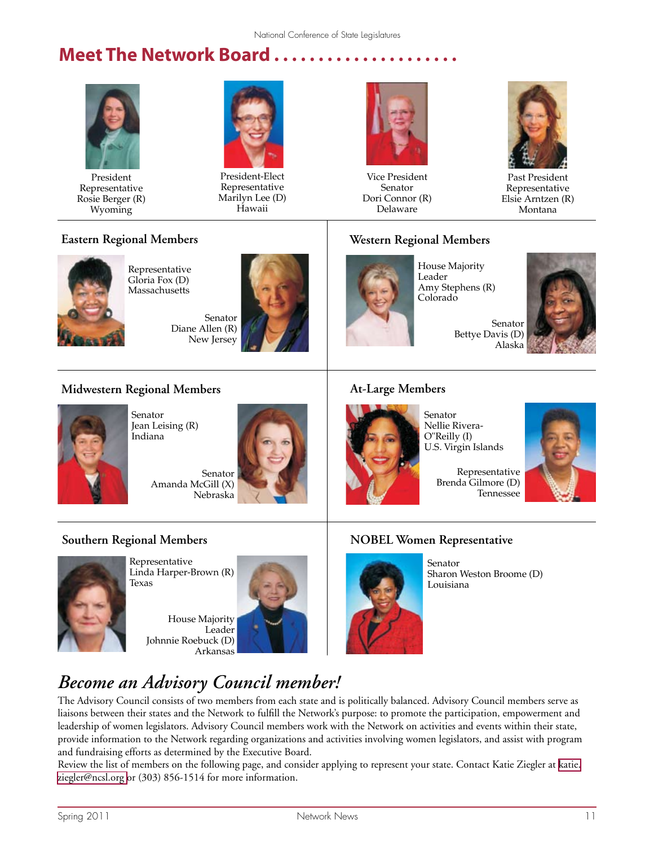# **Meet The Network Board . . . . . . . . . . . . . . . . . . . . .**



President Representative Rosie Berger (R) Wyoming



President-Elect Representative Marilyn Lee (D) Hawaii



Vice President Senator Dori Connor (R) Delaware



Past President Representative Elsie Arntzen (R) Montana

# **Eastern Regional Members**



Representative Gloria Fox (D) **Massachusetts** 

> Senator Diane Allen (R) New Jersey



# **Western Regional Members**



House Majority Leader Amy Stephens (R) Colorado

Senator Bettye Davis (D) Alaska



# **Midwestern Regional Members**



Senator Jean Leising (R) Indiana

Senator Amanda McGill (X) Nebraska



# **At-Large Members**



Senator Nellie Rivera-O"Reilly (I) U.S. Virgin Islands

Representative Brenda Gilmore (D) Tennessee



# **Southern Regional Members**



Representative Linda Harper-Brown (R) Texas

House Majority Leader Johnnie Roebuck (D) Arkansas



# **NOBEL Women Representative**



Senator Sharon Weston Broome (D) Louisiana

# *Become an Advisory Council member!*

The Advisory Council consists of two members from each state and is politically balanced. Advisory Council members serve as liaisons between their states and the Network to fulfill the Network's purpose: to promote the participation, empowerment and leadership of women legislators. Advisory Council members work with the Network on activities and events within their state, provide information to the Network regarding organizations and activities involving women legislators, and assist with program and fundraising efforts as determined by the Executive Board.

Review the list of members on the following page, and consider applying to represent your state. Contact Katie Ziegler at [katie.](mailto:katie.ziegler@ncsl.org ) [ziegler@ncsl.org](mailto:katie.ziegler@ncsl.org ) or (303) 856-1514 for more information.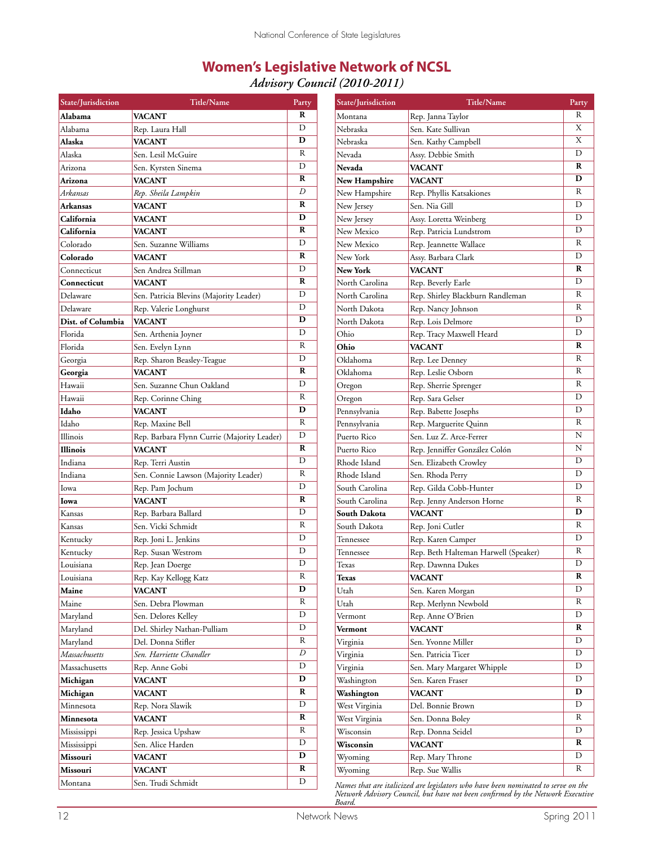# **Women's Legislative Network of NCSL**

*Advisory Council (2010-2011)*

| State/Jurisdiction | Title/Name                                  | Party                 | State/Jurisdiction                                                                | <b>Title/Name</b>                    | Party                   |
|--------------------|---------------------------------------------|-----------------------|-----------------------------------------------------------------------------------|--------------------------------------|-------------------------|
| Alabama            | VACANT                                      | R                     | Montana                                                                           | Rep. Janna Taylor                    | R                       |
| Alabama            | Rep. Laura Hall                             | D                     | Nebraska                                                                          | Sen. Kate Sullivan                   | X                       |
| Alaska             | <b>VACANT</b>                               | D                     | Nebraska                                                                          | Sen. Kathy Campbell                  | X                       |
| Alaska             | Sen. Lesil McGuire                          | ${\bf R}$             | Nevada                                                                            | Assy. Debbie Smith                   | D                       |
| Arizona            | Sen. Kyrsten Sinema                         | D                     | Nevada                                                                            | <b>VACANT</b>                        | R                       |
| Arizona            | <b>VACANT</b>                               | R                     | New Hampshire                                                                     | <b>VACANT</b>                        | D                       |
| Arkansas           | Rep. Sheila Lampkin                         | D                     | New Hampshire                                                                     | Rep. Phyllis Katsakiones             | R                       |
| Arkansas           | <b>VACANT</b>                               | R                     | New Jersey                                                                        | Sen. Nia Gill                        | D                       |
| California         | <b>VACANT</b>                               | D                     | New Jersey                                                                        | Assy. Loretta Weinberg               | D                       |
| California         | <b>VACANT</b>                               | R                     | New Mexico                                                                        | Rep. Patricia Lundstrom              | D                       |
| Colorado           | Sen. Suzanne Williams                       | D                     | New Mexico                                                                        | Rep. Jeannette Wallace               | R                       |
| Colorado           | <b>VACANT</b>                               | R                     | New York                                                                          | Assy. Barbara Clark                  | D                       |
| Connecticut        | Sen Andrea Stillman                         | D                     | New York                                                                          | <b>VACANT</b>                        | R                       |
| Connecticut        | <b>VACANT</b>                               | R                     | North Carolina                                                                    | Rep. Beverly Earle                   | D                       |
| Delaware           | Sen. Patricia Blevins (Majority Leader)     | D                     | North Carolina                                                                    | Rep. Shirley Blackburn Randleman     | R                       |
| Delaware           | Rep. Valerie Longhurst                      | D                     | North Dakota                                                                      | Rep. Nancy Johnson                   | R                       |
| Dist. of Columbia  | <b>VACANT</b>                               | D                     | North Dakota                                                                      | Rep. Lois Delmore                    | D                       |
| Florida            | Sen. Arthenia Joyner                        | D                     | Ohio                                                                              | Rep. Tracy Maxwell Heard             | D                       |
| Florida            | Sen. Evelyn Lynn                            | ${\bf R}$             | Ohio                                                                              | <b>VACANT</b>                        | R                       |
| Georgia            | Rep. Sharon Beasley-Teague                  | $\mathbf D$           | Oklahoma                                                                          | Rep. Lee Denney                      | R                       |
| Georgia            | <b>VACANT</b>                               | $\mathbf R$           | Oklahoma                                                                          | Rep. Leslie Osborn                   | R                       |
| Hawaii             | Sen. Suzanne Chun Oakland                   | D                     | Oregon                                                                            | Rep. Sherrie Sprenger                | R                       |
| Hawaii             | Rep. Corinne Ching                          | ${\bf R}$             | Oregon                                                                            | Rep. Sara Gelser                     | D                       |
| Idaho              | <b>VACANT</b>                               | D                     | Pennsylvania                                                                      | Rep. Babette Josephs                 | D                       |
| Idaho              | Rep. Maxine Bell                            | ${\bf R}$             | Pennsylvania                                                                      | Rep. Marguerite Quinn                | R                       |
| Illinois           | Rep. Barbara Flynn Currie (Majority Leader) | D                     | Puerto Rico                                                                       | Sen. Luz Z. Arce-Ferrer              | N                       |
| Illinois           | <b>VACANT</b>                               | R                     | Puerto Rico                                                                       | Rep. Jenniffer González Colón        | N                       |
| Indiana            | Rep. Terri Austin                           | D                     | Rhode Island                                                                      | Sen. Elizabeth Crowley               | D                       |
| Indiana            | Sen. Connie Lawson (Majority Leader)        | R                     | Rhode Island                                                                      | Sen. Rhoda Perry                     | D                       |
| Iowa               | Rep. Pam Jochum                             | D                     | South Carolina                                                                    | Rep. Gilda Cobb-Hunter               | D                       |
| Iowa               | <b>VACANT</b>                               | $\mathbf R$           | South Carolina                                                                    | Rep. Jenny Anderson Horne            | R                       |
| Kansas             | Rep. Barbara Ballard                        | D                     | South Dakota                                                                      | <b>VACANT</b>                        | D                       |
| Kansas             | Sen. Vicki Schmidt                          | ${\bf R}$             | South Dakota                                                                      | Rep. Joni Cutler                     | R                       |
| Kentucky           | Rep. Joni L. Jenkins                        | D                     | Tennessee                                                                         | Rep. Karen Camper                    | D                       |
| Kentucky           | Rep. Susan Westrom                          | D                     | Tennessee                                                                         | Rep. Beth Halteman Harwell (Speaker) | R                       |
| Louisiana          | Rep. Jean Doerge                            | D                     | Texas                                                                             | Rep. Dawnna Dukes                    | D                       |
| Louisiana          | Rep. Kay Kellogg Katz                       | $\overline{\text{R}}$ | Texas                                                                             | <b>VACANT</b>                        | $\overline{\mathbf{R}}$ |
| Maine              | <b>VACANT</b>                               | D                     | Utah                                                                              | Sen. Karen Morgan                    | D                       |
| Maine              | Sen. Debra Plowman                          | R                     | Utah                                                                              | Rep. Merlynn Newbold                 | R                       |
| Maryland           | Sen. Delores Kelley                         | $\mathbf D$           | Vermont                                                                           | Rep. Anne O'Brien                    | D                       |
| Maryland           | Del. Shirley Nathan-Pulliam                 | D                     | Vermont                                                                           | <b>VACANT</b>                        | R                       |
| Maryland           | Del. Donna Stifler                          | $\mathbb{R}$          | Virginia                                                                          | Sen. Yvonne Miller                   | D                       |
| Massachusetts      | Sen. Harriette Chandler                     | D                     | Virginia                                                                          | Sen. Patricia Ticer                  | D                       |
| Massachusetts      | Rep. Anne Gobi                              | D                     | Virginia                                                                          | Sen. Mary Margaret Whipple           | D                       |
| Michigan           | <b>VACANT</b>                               | D                     | Washington                                                                        | Sen. Karen Fraser                    | D                       |
| Michigan           | <b>VACANT</b>                               | R                     | Washington                                                                        | <b>VACANT</b>                        | D                       |
| Minnesota          | Rep. Nora Slawik                            | $\mathbf D$           | West Virginia                                                                     | Del. Bonnie Brown                    | D                       |
| Minnesota          | <b>VACANT</b>                               | ${\bf R}$             | West Virginia                                                                     | Sen. Donna Boley                     | R                       |
| Mississippi        | Rep. Jessica Upshaw                         | $\mathbb{R}$          | Wisconsin                                                                         | Rep. Donna Seidel                    | D                       |
| Mississippi        | Sen. Alice Harden                           | $\mathbf D$           | Wisconsin                                                                         | <b>VACANT</b>                        | R                       |
| Missouri           | <b>VACANT</b>                               | D                     | Wyoming                                                                           | Rep. Mary Throne                     | D                       |
| Missouri           | <b>VACANT</b>                               | R                     | Wyoming                                                                           | Rep. Sue Wallis                      | R                       |
| Montana            | Sen. Trudi Schmidt                          | D                     | Names that are italicized are legislators who have been nominated to serve on the |                                      |                         |

*Names that are italicized are legislators who have been nominated to serve on the Network Advisory Council, but have not been confirmed by the Network Executive Board.*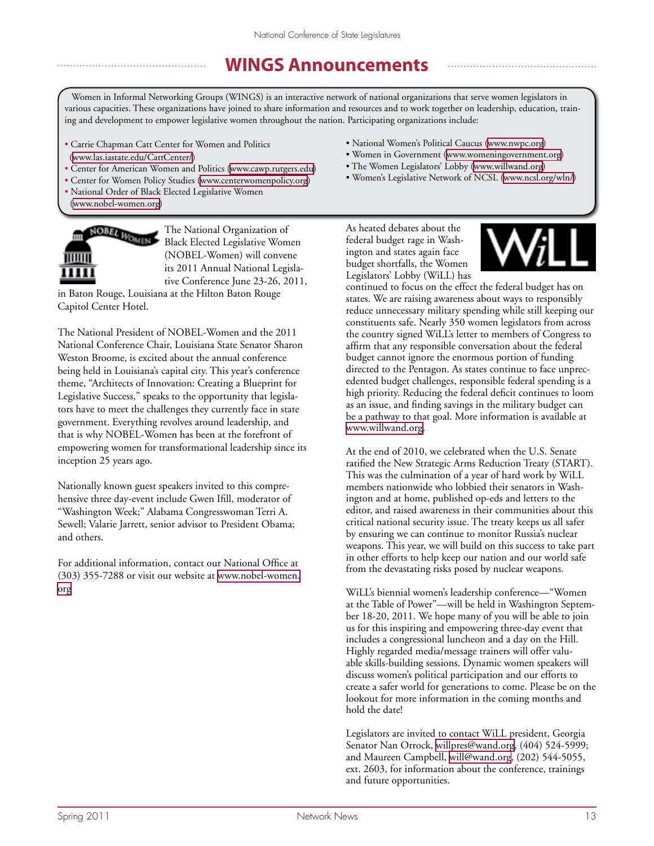# **WINGS Announcements**

Women in Informal Networking Groups (WINGS) is an interactive network of national organizations that serve women legislators in various capacities. These organizations have joined to share information and resources and to work together on leadership, education, training and development to empower legislative women throughout the nation. Participating organizations include:

- Carrie Chapman Catt Center for Women and Politics (<www.las.iastate.edu/CattCenter/>)
- Center for American Women and Politics [\(www.cawp.rutgers.edu\)](http://www.cawp.rutgers.edu)
- Center for Women Policy Studies ([www.centerwomenpolicy.org\)](http://www.centerwomenpolicy.org)
- National Order of Black Elected Legislative Women [\(www.nobel-women.org](http://www.nobel-women.org))



The National Organization of Black Elected Legislative Women (NOBEL-Women) will convene its 2011 Annual National Legislative Conference June 23-26, 2011,

in Baton Rouge, Louisiana at the Hilton Baton Rouge Capitol Center Hotel.

The National President of NOBEL-Women and the 2011 National Conference Chair, Louisiana State Senator Sharon Weston Broome, is excited about the annual conference being held in Louisiana's capital city. This year's conference theme, "Architects of Innovation: Creating a Blueprint for Legislative Success," speaks to the opportunity that legislators have to meet the challenges they currently face in state government. Everything revolves around leadership, and that is why NOBEL-Women has been at the forefront of empowering women for transformational leadership since its inception 25 years ago.

Nationally known guest speakers invited to this comprehensive three day-event include Gwen Ifill, moderator of "Washington Week;" Alabama Congresswoman Terri A. Sewell; Valarie Jarrett, senior advisor to President Obama; and others.

For additional information, contact our National Office at (303) 355-7288 or visit our website at [www.nobel-women.](http://www.nobel-women.org) [org](http://www.nobel-women.org)

- National Women's Political Caucus ([www.nwpc.org\)](http://www.nwpc.org)
- Women in Government ([www.womeningovernment.org](http://www.womeningovernment.org))
- The Women Legislators' Lobby ([www.willwand.org](http://www.willwand.org))
- Women's Legislative Network of NCSL ([www.ncsl.org/wln/\)](http://www.ncsl.org/wln/)

As heated debates about the federal budget rage in Washington and states again face budget shortfalls, the Women Legislators' Lobby (WiLL) has



continued to focus on the effect the federal budget has on states. We are raising awareness about ways to responsibly reduce unnecessary military spending while still keeping our constituents safe. Nearly 350 women legislators from across the country signed WiLL's letter to members of Congress to affirm that any responsible conversation about the federal budget cannot ignore the enormous portion of funding directed to the Pentagon. As states continue to face unprecedented budget challenges, responsible federal spending is a high priority. Reducing the federal deficit continues to loom as an issue, and finding savings in the military budget can be a pathway to that goal. More information is available at [www.willwand.org.](http://www.willwand.org)

At the end of 2010, we celebrated when the U.S. Senate ratified the New Strategic Arms Reduction Treaty (START). This was the culmination of a year of hard work by WiLL members nationwide who lobbied their senators in Washington and at home, published op-eds and letters to the editor, and raised awareness in their communities about this critical national security issue. The treaty keeps us all safer by ensuring we can continue to monitor Russia's nuclear weapons. This year, we will build on this success to take part in other efforts to help keep our nation and our world safe from the devastating risks posed by nuclear weapons.

WiLL's biennial women's leadership conference—"Women at the Table of Power"—will be held in Washington September 18-20, 2011. We hope many of you will be able to join us for this inspiring and empowering three-day event that includes a congressional luncheon and a day on the Hill. Highly regarded media/message trainers will offer valuable skills-building sessions. Dynamic women speakers will discuss women's political participation and our efforts to create a safer world for generations to come. Please be on the lookout for more information in the coming months and hold the date!

Legislators are invited to contact WiLL president, Georgia Senator Nan Orrock, [willpres@wand.org,](mailto:willpres@wand.org) (404) 524-5999; and Maureen Campbell, [will@wand.org,](mailto:will@wand.org) (202) 544-5055, ext. 2603, for information about the conference, trainings and future opportunities.